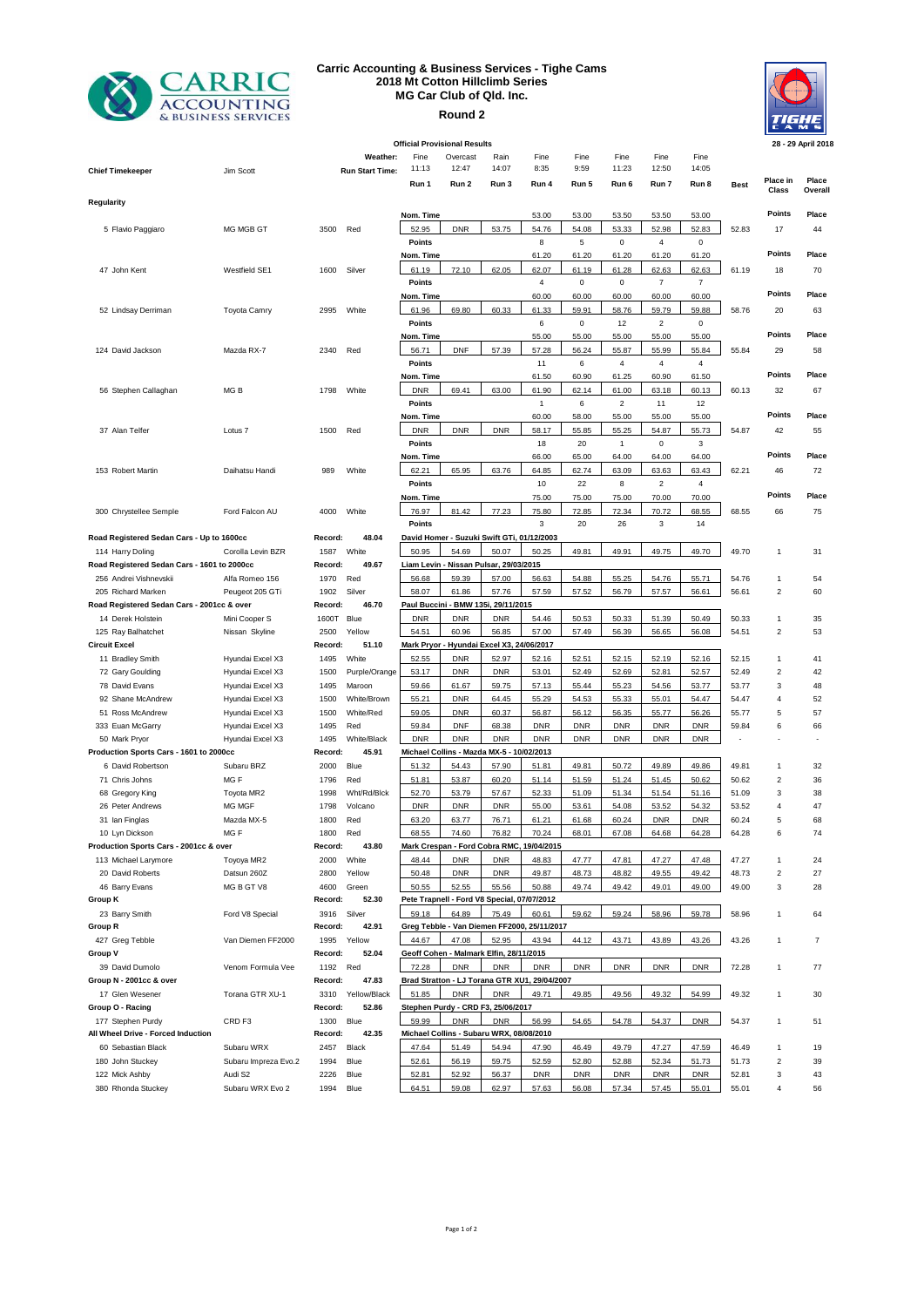

## **Carric Accounting & Business Services - Tighe Cams 2018 Mt Cotton Hillclimb Series MG Car Club of Qld. Inc. Round 2**



| <b>Official Provisional Results</b>         |                      |          |                        |               |                                             |            |                                               |             |                |                |                         | 28 - 29 April 2018 |                         |         |
|---------------------------------------------|----------------------|----------|------------------------|---------------|---------------------------------------------|------------|-----------------------------------------------|-------------|----------------|----------------|-------------------------|--------------------|-------------------------|---------|
|                                             |                      |          | Weather:               | Fine          | Overcast                                    | Rain       | Fine                                          | Fine        | Fine           | Fine           | Fine                    |                    |                         |         |
| <b>Chief Timekeeper</b>                     | Jim Scott            |          | <b>Run Start Time:</b> | 11:13         | 12:47                                       | 14:07      | 8:35                                          | 9:59        | 11:23          | 12:50          | 14:05                   |                    |                         |         |
|                                             |                      |          |                        | Run 1         | Run 2                                       | Run 3      | Run 4                                         | Run 5       | Run 6          | Run 7          | Run 8                   | <b>Best</b>        | Place in                | Place   |
|                                             |                      |          |                        |               |                                             |            |                                               |             |                |                |                         |                    | Class                   | Overall |
| Regularity                                  |                      |          |                        | Nom. Time     |                                             |            | 53.00                                         | 53.00       | 53.50          | 53.50          | 53.00                   |                    | Points                  | Place   |
| 5 Flavio Paggiaro                           | MG MGB GT            | 3500     | Red                    | 52.95         | <b>DNR</b>                                  | 53.75      | 54.76                                         | 54.08       | 53.33          | 52.98          | 52.83                   | 52.83              | 17                      | 44      |
|                                             |                      |          |                        | Points        |                                             |            | 8                                             | 5           | 0              | 4              | 0                       |                    |                         |         |
|                                             |                      |          |                        | Nom. Time     |                                             |            | 61.20                                         | 61.20       | 61.20          | 61.20          | 61.20                   |                    | Points                  | Place   |
| 47 John Kent                                | Westfield SE1        | 1600     | Silver                 | 61.19         | 72.10                                       | 62.05      | 62.07                                         | 61.19       | 61.28          | 62.63          | 62.63                   | 61.19              | 18                      | 70      |
|                                             |                      |          |                        | <b>Points</b> |                                             |            | $\overline{4}$                                | $\mathbf 0$ | $\pmb{0}$      | $\overline{7}$ | $\overline{7}$          |                    |                         |         |
|                                             |                      |          |                        | Nom. Time     |                                             |            | 60.00                                         | 60.00       | 60.00          | 60.00          | 60.00                   |                    | Points                  | Place   |
| 52 Lindsay Derriman                         | <b>Toyota Camry</b>  | 2995     | White                  | 61.96         | 69.80                                       | 60.33      | 61.33                                         | 59.91       | 58.76          | 59.79          | 59.88                   | 58.76              | 20                      | 63      |
|                                             |                      |          |                        | Points        |                                             |            | 6                                             | $\mathsf 0$ | 12             | $\overline{2}$ | 0                       |                    |                         |         |
|                                             |                      |          |                        | Nom. Time     |                                             |            | 55.00                                         | 55.00       | 55.00          | 55.00          | 55.00                   |                    | Points                  | Place   |
| 124 David Jackson                           | Mazda RX-7           | 2340     | Red                    | 56.71         | <b>DNF</b>                                  | 57.39      | 57.28                                         | 56.24       | 55.87          | 55.99          | 55.84                   | 55.84              | 29                      | 58      |
|                                             |                      |          |                        | Points        |                                             |            | 11                                            | 6           | 4              | $\overline{4}$ | 4                       |                    |                         |         |
|                                             |                      |          |                        | Nom. Time     |                                             |            | 61.50                                         | 60.90       | 61.25          | 60.90          | 61.50                   |                    | Points                  | Place   |
| 56 Stephen Callaghan                        | MG <sub>B</sub>      | 1798     | White                  | <b>DNR</b>    | 69.41                                       | 63.00      | 61.90                                         | 62.14       | 61.00          | 63.18          | 60.13                   | 60.13              | 32                      | 67      |
|                                             |                      |          |                        | Points        |                                             |            | $\mathbf{1}$                                  | 6           | $\overline{2}$ | 11             | 12                      |                    |                         |         |
|                                             |                      |          |                        | Nom. Time     |                                             |            | 60.00                                         | 58.00       | 55.00          | 55.00          | 55.00                   |                    | Points                  | Place   |
| 37 Alan Telfer                              | Lotus <sub>7</sub>   | 1500     | Red                    | <b>DNR</b>    | <b>DNR</b>                                  | <b>DNR</b> | 58.17                                         | 55.85       | 55.25          | 54.87          | 55.73                   | 54.87              | 42                      | 55      |
|                                             |                      |          |                        | Points        |                                             |            | 18                                            | 20          | $\overline{1}$ | $\mathsf 0$    | 3                       |                    |                         |         |
|                                             |                      |          |                        | Nom. Time     |                                             |            | 66.00                                         | 65.00       | 64.00          | 64.00          | 64.00                   |                    | Points                  | Place   |
| 153 Robert Martin                           | Daihatsu Handi       | 989      | White                  | 62.21         | 65.95                                       | 63.76      | 64.85                                         | 62.74       | 63.09          | 63.63          | 63.43                   | 62.21              | 46                      | 72      |
|                                             |                      |          |                        | Points        |                                             |            | 10                                            | 22          | 8              | $\sqrt{2}$     | $\overline{\mathbf{4}}$ |                    |                         |         |
|                                             |                      |          |                        | Nom. Time     |                                             |            | 75.00                                         | 75.00       | 75.00          | 70.00          | 70.00                   |                    | Points                  | Place   |
| 300 Chrystellee Semple                      | Ford Falcon AU       | 4000     | White                  | 76.97         | 81.42                                       | 77.23      | 75.80                                         | 72.85       | 72.34          | 70.72          | 68.55                   | 68.55              | 66                      | 75      |
|                                             |                      |          |                        | Points        |                                             |            | 3                                             | 20          | 26             | 3              | 14                      |                    |                         |         |
| Road Registered Sedan Cars - Up to 1600cc   |                      | Record:  | 48.04                  |               | David Homer - Suzuki Swift GTi, 01/12/2003  |            |                                               |             |                |                |                         |                    |                         |         |
| 114 Harry Doling                            | Corolla Levin BZR    | 1587     | White                  | 50.95         | 54.69                                       | 50.07      | 50.25                                         | 49.81       | 49.91          | 49.75          | 49.70                   | 49.70              | 1                       | 31      |
| Road Registered Sedan Cars - 1601 to 2000cc |                      | Record:  | 49.67                  |               | Liam Levin - Nissan Pulsar, 29/03/2015      |            |                                               |             |                |                |                         |                    |                         |         |
| 256 Andrei Vishnevskii                      | Alfa Romeo 156       | 1970     | Red                    | 56.68         | 59.39                                       | 57.00      | 56.63                                         | 54.88       | 55.25          | 54.76          | 55.71                   | 54.76              | 1                       | 54      |
| 205 Richard Marken                          | Peugeot 205 GTi      | 1902     | Silver                 | 58.07         | 61.86                                       | 57.76      | 57.59                                         | 57.52       | 56.79          | 57.57          | 56.61                   | 56.61              | $\overline{\mathbf{c}}$ | 60      |
| Road Registered Sedan Cars - 2001cc & over  |                      | Record:  | 46.70                  |               | Paul Buccini - BMW 135i, 29/11/2015         |            |                                               |             |                |                |                         |                    |                         |         |
| 14 Derek Holstein                           | Mini Cooper S        | 1600T    | Blue                   | <b>DNR</b>    | <b>DNR</b>                                  | <b>DNR</b> | 54.46                                         | 50.53       | 50.33          | 51.39          | 50.49                   | 50.33              | 1                       | 35      |
| 125 Ray Balhatchet                          | Nissan Skyline       | 2500     | Yellow                 | 54.51         | 60.96                                       | 56.85      | 57.00                                         | 57.49       | 56.39          | 56.65          | 56.08                   | 54.51              | $\overline{\mathbf{c}}$ | 53      |
| <b>Circuit Excel</b>                        |                      | Record:  | 51.10                  |               | Mark Pryor - Hyundai Excel X3, 24/06/2017   |            |                                               |             |                |                |                         |                    |                         |         |
| 11 Bradley Smith                            | Hyundai Excel X3     | 1495     | White                  | 52.55         | <b>DNR</b>                                  | 52.97      | 52.16                                         | 52.51       | 52.15          | 52.19          | 52.16                   | 52.15              | $\mathbf{1}$            | 41      |
| 72 Gary Goulding                            | Hyundai Excel X3     | 1500     | Purple/Orange          | 53.17         | <b>DNR</b>                                  | <b>DNR</b> | 53.01                                         | 52.49       | 52.69          | 52.81          | 52.57                   | 52.49              | $\overline{2}$          | 42      |
| 78 David Evans                              | Hyundai Excel X3     | 1495     | Maroon                 | 59.66         | 61.67                                       | 59.75      | 57.13                                         | 55.44       | 55.23          | 54.56          | 53.77                   | 53.77              | 3                       | 48      |
| 92 Shane McAndrew                           | Hyundai Excel X3     | 1500     | White/Brown            | 55.21         | <b>DNR</b>                                  | 64.45      | 55.29                                         | 54.53       | 55.33          | 55.01          | 54.47                   | 54.47              | 4                       | 52      |
| 51 Ross McAndrew                            | Hyundai Excel X3     | 1500     | White/Red              | 59.05         | <b>DNR</b>                                  | 60.37      | 56.87                                         | 56.12       | 56.35          | 55.77          | 56.26                   | 55.77              | 5                       | 57      |
| 333 Euan McGarry                            | Hyundai Excel X3     | 1495     | Red                    | 59.84         | <b>DNF</b>                                  | 68.38      | <b>DNR</b>                                    | <b>DNR</b>  | <b>DNR</b>     | <b>DNR</b>     | <b>DNR</b>              | 59.84              | 6                       | 66      |
| 50 Mark Pryor                               | Hyundai Excel X3     | 1495     | White/Black            | <b>DNR</b>    | <b>DNR</b>                                  | <b>DNR</b> | <b>DNR</b>                                    | <b>DNR</b>  | <b>DNR</b>     | <b>DNR</b>     | <b>DNR</b>              |                    |                         |         |
| Production Sports Cars - 1601 to 2000cc     |                      | Record:  | 45.91                  |               | Michael Collins - Mazda MX-5 - 10/02/2013   |            |                                               |             |                |                |                         |                    |                         |         |
| 6 David Robertson                           | Subaru BRZ           | 2000     | Blue                   | 51.32         | 54.43                                       | 57.90      | 51.81                                         | 49.81       | 50.72          | 49.89          | 49.86                   | 49.81              | 1                       | 32      |
| 71 Chris Johns                              | MG <sub>F</sub>      | 1796     | Red                    | 51.81         | 53.87                                       | 60.20      | 51.14                                         | 51.59       | 51.24          | 51.45          | 50.62                   | 50.62              | $\overline{\mathbf{c}}$ | 36      |
| 68 Gregory King                             | Toyota MR2           | 1998     | Wht/Rd/Blck            | 52.70         | 53.79                                       | 57.67      | 52.33                                         | 51.09       | 51.34          | 51.54          | 51.16                   | 51.09              | 3                       | 38      |
| 26 Peter Andrews                            | MG MGF               | 1798     | Volcano                | <b>DNR</b>    | <b>DNR</b>                                  | <b>DNR</b> | 55.00                                         | 53.61       | 54.08          | 53.52          | 54.32                   | 53.52              | 4                       | 47      |
| 31 Ian Finglas                              | Mazda MX-5           | 1800     | Red                    | 63.20         | 63.77                                       | 76.71      | 61.21                                         | 61.68       | 60.24          | <b>DNR</b>     | <b>DNR</b>              | 60.24              | 5                       | 68      |
| 10 Lyn Dickson                              | MGF                  | 1800     | Red                    | 68.55         | 74.60                                       | 76.82      | 70.24                                         | 68.01       | 67.08          | 64.68          | 64.28                   | 64.28              | 6                       | 74      |
| Production Sports Cars - 2001cc & over      |                      | Record:  | 43.80                  |               |                                             |            | Mark Crespan - Ford Cobra RMC, 19/04/2015     |             |                |                |                         |                    |                         |         |
| 113 Michael Larymore                        | Toyoya MR2           | 2000     | White                  | 48.44         | <b>DNR</b>                                  | <b>DNR</b> | 48.83                                         | 47.77       | 47.81          | 47.27          | 47.48                   | 47.27              | 1                       | 24      |
| 20 David Roberts                            | Datsun 260Z          | 2800     | Yellow                 | 50.48         | <b>DNR</b>                                  | <b>DNR</b> | 49.87                                         | 48.73       | 48.82          | 49.55          | 49.42                   | 48.73              | $\overline{2}$          | 27      |
| 46 Barry Evans                              | MG B GT V8           | 4600     | Green                  | 50.55         | 52.55                                       | 55.56      | 50.88                                         | 49.74       | 49.42          | 49.01          | 49.00                   | 49.00              | 3                       | 28      |
| Group K                                     |                      | Record:  | 52.30                  |               | Pete Trapnell - Ford V8 Special, 07/07/2012 |            |                                               |             |                |                |                         |                    |                         |         |
| 23 Barry Smith                              | Ford V8 Special      | 3916     | Silver                 | 59.18         | 64.89                                       | 75.49      | 60.61                                         | 59.62       | 59.24          | 58.96          | 59.78                   | 58.96              | 1                       | 64      |
| Group R                                     |                      | Record:  | 42.91                  |               |                                             |            | Greg Tebble - Van Diemen FF2000, 25/11/2017   |             |                |                |                         |                    |                         |         |
| 427 Greg Tebble                             | Van Diemen FF2000    | 1995     | Yellow                 | 44.67         | 47.08                                       | 52.95      | 43.94                                         | 44.12       | 43.71          | 43.89          | 43.26                   | 43.26              | $\mathbf{1}$            | 7       |
| Group V                                     |                      | Record:  | 52.04                  |               | Geoff Cohen - Malmark Elfin, 28/11/2015     |            |                                               |             |                |                |                         |                    |                         |         |
| 39 David Dumolo                             | Venom Formula Vee    | 1192 Red |                        | 72.28         | <b>DNR</b>                                  | <b>DNR</b> | <b>DNR</b>                                    | <b>DNR</b>  | <b>DNR</b>     | <b>DNR</b>     | <b>DNR</b>              | 72.28              | $\mathbf{1}$            | 77      |
| Group N - 2001cc & over                     |                      | Record:  | 47.83                  |               |                                             |            | Brad Stratton - LJ Torana GTR XU1, 29/04/2007 |             |                |                |                         |                    |                         |         |
| 17 Glen Wesener                             | Torana GTR XU-1      | 3310     | Yellow/Black           | 51.85         | <b>DNR</b>                                  | <b>DNR</b> | 49.71                                         | 49.85       | 49.56          | 49.32          | 54.99                   | 49.32              | 1                       | 30      |
| Group O - Racing                            |                      | Record:  | 52.86                  |               | Stephen Purdy - CRD F3, 25/06/2017          |            |                                               |             |                |                |                         |                    |                         |         |
| 177 Stephen Purdy                           | CRD <sub>F3</sub>    | 1300     | Blue                   | 59.99         | <b>DNR</b>                                  | <b>DNR</b> | 56.99                                         | 54.65       | 54.78          | 54.37          | <b>DNR</b>              | 54.37              | $\mathbf{1}$            | 51      |
| All Wheel Drive - Forced Induction          |                      | Record:  | 42.35                  |               | Michael Collins - Subaru WRX, 08/08/2010    |            |                                               |             |                |                |                         |                    |                         |         |
| 60 Sebastian Black                          | Subaru WRX           | 2457     | Black                  | 47.64         | 51.49                                       | 54.94      | 47.90                                         | 46.49       | 49.79          | 47.27          | 47.59                   | 46.49              | 1                       | 19      |
| 180 John Stuckey                            | Subaru Impreza Evo.2 | 1994     | Blue                   | 52.61         | 56.19                                       | 59.75      | 52.59                                         | 52.80       | 52.88          | 52.34          | 51.73                   | 51.73              | $\overline{\mathbf{c}}$ | 39      |
| 122 Mick Ashby                              | Audi S2              | 2226     | Blue                   | 52.81         | 52.92                                       | 56.37      | <b>DNR</b>                                    | <b>DNR</b>  | <b>DNR</b>     | <b>DNR</b>     | <b>DNR</b>              | 52.81              | 3<br>$\overline{4}$     | 43      |
| 380 Rhonda Stuckey                          | Subaru WRX Evo 2     | 1994     | Blue                   | 64.51         | 59.08                                       | 62.97      | 57.63                                         | 56.08       | 57.34          | 57.45          | 55.01                   | 55.01              |                         | 56      |